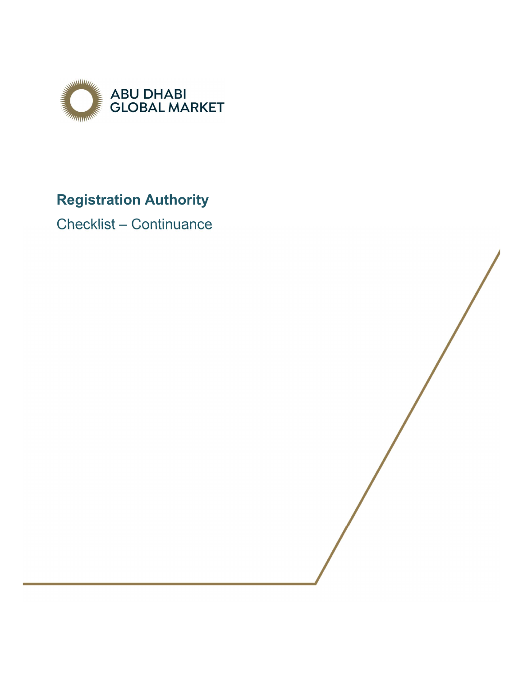

# Registration Authority

Checklist – Continuance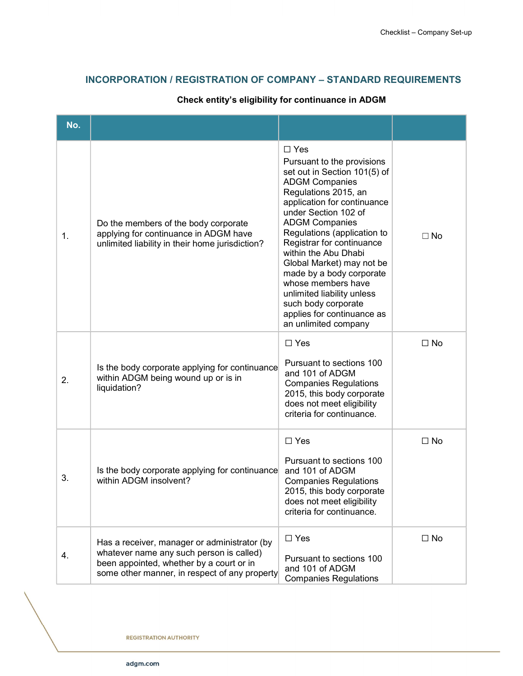### INCORPORATION / REGISTRATION OF COMPANY – STANDARD REQUIREMENTS

| No. |                                                                                                                                                                                       |                                                                                                                                                                                                                                                                                                                                                                                                                                                                                         |              |
|-----|---------------------------------------------------------------------------------------------------------------------------------------------------------------------------------------|-----------------------------------------------------------------------------------------------------------------------------------------------------------------------------------------------------------------------------------------------------------------------------------------------------------------------------------------------------------------------------------------------------------------------------------------------------------------------------------------|--------------|
| 1.  | Do the members of the body corporate<br>applying for continuance in ADGM have<br>unlimited liability in their home jurisdiction?                                                      | $\Box$ Yes<br>Pursuant to the provisions<br>set out in Section 101(5) of<br><b>ADGM Companies</b><br>Regulations 2015, an<br>application for continuance<br>under Section 102 of<br><b>ADGM Companies</b><br>Regulations (application to<br>Registrar for continuance<br>within the Abu Dhabi<br>Global Market) may not be<br>made by a body corporate<br>whose members have<br>unlimited liability unless<br>such body corporate<br>applies for continuance as<br>an unlimited company | $\Box$ No    |
| 2.  | Is the body corporate applying for continuance<br>within ADGM being wound up or is in<br>liquidation?                                                                                 | $\square$ Yes<br>Pursuant to sections 100<br>and 101 of ADGM<br><b>Companies Regulations</b><br>2015, this body corporate<br>does not meet eligibility<br>criteria for continuance.                                                                                                                                                                                                                                                                                                     | $\square$ No |
| 3.  | Is the body corporate applying for continuance<br>within ADGM insolvent?                                                                                                              | $\square$ Yes<br>Pursuant to sections 100<br>and 101 of ADGM<br><b>Companies Regulations</b><br>2015, this body corporate<br>does not meet eligibility<br>criteria for continuance.                                                                                                                                                                                                                                                                                                     | $\square$ No |
| 4.  | Has a receiver, manager or administrator (by<br>whatever name any such person is called)<br>been appointed, whether by a court or in<br>some other manner, in respect of any property | $\Box$ Yes<br>Pursuant to sections 100<br>and 101 of ADGM<br><b>Companies Regulations</b>                                                                                                                                                                                                                                                                                                                                                                                               | $\square$ No |

## Check entity's eligibility for continuance in ADGM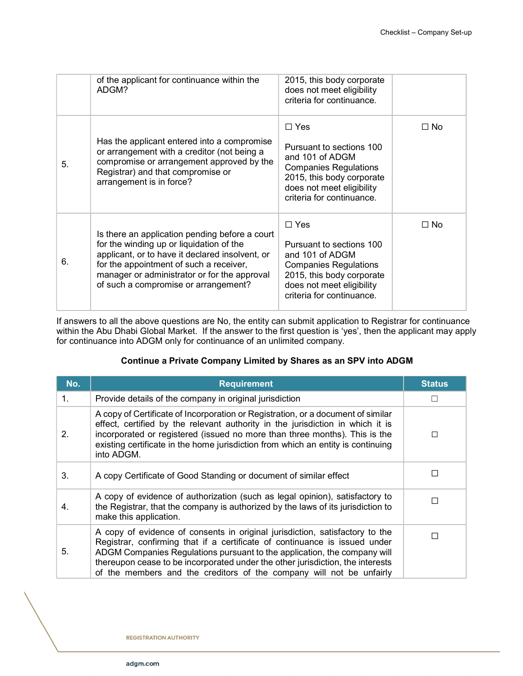|    | of the applicant for continuance within the<br>ADGM?                                                                                                                                                                                                                             | 2015, this body corporate<br>does not meet eligibility<br>criteria for continuance.                                                                                              |           |
|----|----------------------------------------------------------------------------------------------------------------------------------------------------------------------------------------------------------------------------------------------------------------------------------|----------------------------------------------------------------------------------------------------------------------------------------------------------------------------------|-----------|
| 5. | Has the applicant entered into a compromise<br>or arrangement with a creditor (not being a<br>compromise or arrangement approved by the<br>Registrar) and that compromise or<br>arrangement is in force?                                                                         | $\Box$ Yes<br>Pursuant to sections 100<br>and 101 of ADGM<br><b>Companies Regulations</b><br>2015, this body corporate<br>does not meet eligibility<br>criteria for continuance. | $\Box$ No |
| 6. | Is there an application pending before a court<br>for the winding up or liquidation of the<br>applicant, or to have it declared insolvent, or<br>for the appointment of such a receiver,<br>manager or administrator or for the approval<br>of such a compromise or arrangement? | $\Box$ Yes<br>Pursuant to sections 100<br>and 101 of ADGM<br><b>Companies Regulations</b><br>2015, this body corporate<br>does not meet eligibility<br>criteria for continuance. | $\Box$ No |

If answers to all the above questions are No, the entity can submit application to Registrar for continuance within the Abu Dhabi Global Market. If the answer to the first question is 'yes', then the applicant may apply for continuance into ADGM only for continuance of an unlimited company.

#### Continue a Private Company Limited by Shares as an SPV into ADGM

| No. | <b>Requirement</b>                                                                                                                                                                                                                                                                                                                                                                               | <b>Status</b> |
|-----|--------------------------------------------------------------------------------------------------------------------------------------------------------------------------------------------------------------------------------------------------------------------------------------------------------------------------------------------------------------------------------------------------|---------------|
|     | Provide details of the company in original jurisdiction                                                                                                                                                                                                                                                                                                                                          |               |
| 2.  | A copy of Certificate of Incorporation or Registration, or a document of similar<br>effect, certified by the relevant authority in the jurisdiction in which it is<br>incorporated or registered (issued no more than three months). This is the<br>existing certificate in the home jurisdiction from which an entity is continuing<br>into ADGM.                                               |               |
| 3.  | A copy Certificate of Good Standing or document of similar effect                                                                                                                                                                                                                                                                                                                                |               |
| 4.  | A copy of evidence of authorization (such as legal opinion), satisfactory to<br>the Registrar, that the company is authorized by the laws of its jurisdiction to<br>make this application.                                                                                                                                                                                                       |               |
| 5.  | A copy of evidence of consents in original jurisdiction, satisfactory to the<br>Registrar, confirming that if a certificate of continuance is issued under<br>ADGM Companies Regulations pursuant to the application, the company will<br>thereupon cease to be incorporated under the other jurisdiction, the interests<br>of the members and the creditors of the company will not be unfairly |               |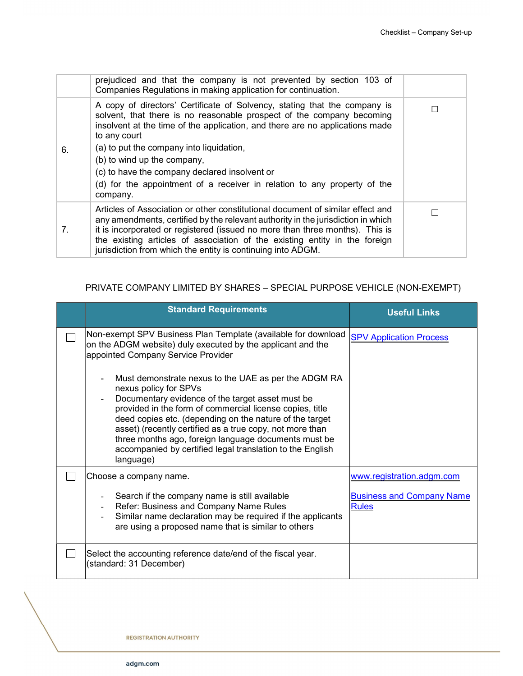|                                  | prejudiced and that the company is not prevented by section 103 of<br>Companies Regulations in making application for continuation.                                                                                                                                                                                              |  |
|----------------------------------|----------------------------------------------------------------------------------------------------------------------------------------------------------------------------------------------------------------------------------------------------------------------------------------------------------------------------------|--|
|                                  | A copy of directors' Certificate of Solvency, stating that the company is<br>solvent, that there is no reasonable prospect of the company becoming<br>insolvent at the time of the application, and there are no applications made<br>to any court                                                                               |  |
| 6.                               | (a) to put the company into liquidation,                                                                                                                                                                                                                                                                                         |  |
|                                  | (b) to wind up the company,                                                                                                                                                                                                                                                                                                      |  |
|                                  | (c) to have the company declared insolvent or                                                                                                                                                                                                                                                                                    |  |
|                                  | (d) for the appointment of a receiver in relation to any property of the<br>company.                                                                                                                                                                                                                                             |  |
| $7_{\scriptscriptstyle{\ddots}}$ | Articles of Association or other constitutional document of similar effect and<br>any amendments, certified by the relevant authority in the jurisdiction in which<br>it is incorporated or registered (issued no more than three months). This is<br>the existing articles of association of the existing entity in the foreign |  |
|                                  | jurisdiction from which the entity is continuing into ADGM.                                                                                                                                                                                                                                                                      |  |

## PRIVATE COMPANY LIMITED BY SHARES – SPECIAL PURPOSE VEHICLE (NON-EXEMPT)

| <b>Standard Requirements</b>                                                                                                                                                                                                                                                                                                                                                                                                                                             | <b>Useful Links</b>                              |
|--------------------------------------------------------------------------------------------------------------------------------------------------------------------------------------------------------------------------------------------------------------------------------------------------------------------------------------------------------------------------------------------------------------------------------------------------------------------------|--------------------------------------------------|
| Non-exempt SPV Business Plan Template (available for download<br>on the ADGM website) duly executed by the applicant and the<br>appointed Company Service Provider                                                                                                                                                                                                                                                                                                       | <b>SPV Application Process</b>                   |
| Must demonstrate nexus to the UAE as per the ADGM RA<br>$\overline{a}$<br>nexus policy for SPVs<br>Documentary evidence of the target asset must be<br>provided in the form of commercial license copies, title<br>deed copies etc. (depending on the nature of the target<br>asset) (recently certified as a true copy, not more than<br>three months ago, foreign language documents must be<br>accompanied by certified legal translation to the English<br>language) |                                                  |
| Choose a company name.                                                                                                                                                                                                                                                                                                                                                                                                                                                   | www.registration.adgm.com                        |
| Search if the company name is still available<br>$\overline{\phantom{a}}$<br>Refer: Business and Company Name Rules<br>$\overline{\phantom{a}}$<br>Similar name declaration may be required if the applicants<br>are using a proposed name that is similar to others                                                                                                                                                                                                     | <b>Business and Company Name</b><br><b>Rules</b> |
| Select the accounting reference date/end of the fiscal year.<br>(standard: 31 December)                                                                                                                                                                                                                                                                                                                                                                                  |                                                  |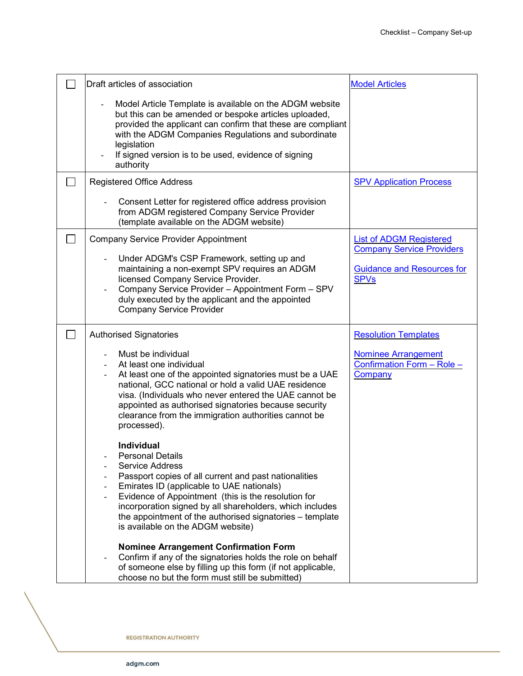|                             | Draft articles of association                                                                                                                                                                                                                                                                                                                                                             | <b>Model Articles</b>                                                                                                  |
|-----------------------------|-------------------------------------------------------------------------------------------------------------------------------------------------------------------------------------------------------------------------------------------------------------------------------------------------------------------------------------------------------------------------------------------|------------------------------------------------------------------------------------------------------------------------|
|                             | Model Article Template is available on the ADGM website<br>but this can be amended or bespoke articles uploaded,<br>provided the applicant can confirm that these are compliant<br>with the ADGM Companies Regulations and subordinate<br>legislation<br>If signed version is to be used, evidence of signing<br>authority                                                                |                                                                                                                        |
| $\mathcal{L}_{\mathcal{A}}$ | <b>Registered Office Address</b>                                                                                                                                                                                                                                                                                                                                                          | <b>SPV Application Process</b>                                                                                         |
|                             | Consent Letter for registered office address provision<br>from ADGM registered Company Service Provider<br>(template available on the ADGM website)                                                                                                                                                                                                                                       |                                                                                                                        |
| $\Box$                      | <b>Company Service Provider Appointment</b><br>Under ADGM's CSP Framework, setting up and<br>maintaining a non-exempt SPV requires an ADGM<br>licensed Company Service Provider.<br>Company Service Provider - Appointment Form - SPV<br>duly executed by the applicant and the appointed<br><b>Company Service Provider</b>                                                              | <b>List of ADGM Registered</b><br><b>Company Service Providers</b><br><b>Guidance and Resources for</b><br><b>SPVs</b> |
| $\Box$                      | <b>Authorised Signatories</b>                                                                                                                                                                                                                                                                                                                                                             | <b>Resolution Templates</b>                                                                                            |
|                             | Must be individual<br>At least one individual<br>At least one of the appointed signatories must be a UAE<br>national, GCC national or hold a valid UAE residence<br>visa. (Individuals who never entered the UAE cannot be<br>appointed as authorised signatories because security<br>clearance from the immigration authorities cannot be<br>processed).                                 | <b>Nominee Arrangement</b><br>Confirmation Form - Role -<br>Company                                                    |
|                             | <b>Individual</b><br><b>Personal Details</b><br>Service Address<br>Passport copies of all current and past nationalities<br>Emirates ID (applicable to UAE nationals)<br>Evidence of Appointment (this is the resolution for<br>incorporation signed by all shareholders, which includes<br>the appointment of the authorised signatories - template<br>is available on the ADGM website) |                                                                                                                        |
|                             | <b>Nominee Arrangement Confirmation Form</b><br>Confirm if any of the signatories holds the role on behalf<br>of someone else by filling up this form (if not applicable,<br>choose no but the form must still be submitted)                                                                                                                                                              |                                                                                                                        |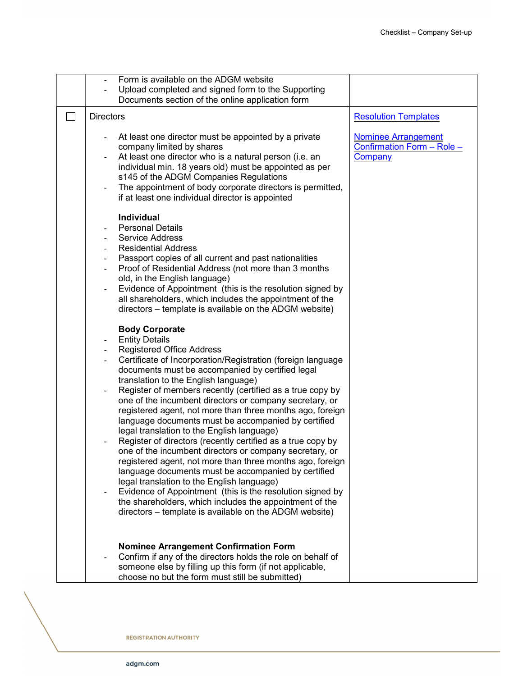| Form is available on the ADGM website<br>Upload completed and signed form to the Supporting<br>Documents section of the online application form                                                                                                                                                                                                                                                                                                                                                                                                                                                                                                                                                                                                                                                                                                                                                                                                                                                                       |                                                                                                    |
|-----------------------------------------------------------------------------------------------------------------------------------------------------------------------------------------------------------------------------------------------------------------------------------------------------------------------------------------------------------------------------------------------------------------------------------------------------------------------------------------------------------------------------------------------------------------------------------------------------------------------------------------------------------------------------------------------------------------------------------------------------------------------------------------------------------------------------------------------------------------------------------------------------------------------------------------------------------------------------------------------------------------------|----------------------------------------------------------------------------------------------------|
| <b>Directors</b><br>At least one director must be appointed by a private<br>company limited by shares<br>At least one director who is a natural person (i.e. an<br>individual min. 18 years old) must be appointed as per<br>s145 of the ADGM Companies Regulations<br>The appointment of body corporate directors is permitted,<br>if at least one individual director is appointed<br>Individual<br><b>Personal Details</b><br>Service Address<br><b>Residential Address</b><br>Passport copies of all current and past nationalities<br>Proof of Residential Address (not more than 3 months<br>old, in the English language)<br>Evidence of Appointment (this is the resolution signed by<br>all shareholders, which includes the appointment of the<br>directors – template is available on the ADGM website)                                                                                                                                                                                                    | <b>Resolution Templates</b><br><b>Nominee Arrangement</b><br>Confirmation Form - Role -<br>Company |
| <b>Body Corporate</b><br><b>Entity Details</b><br><b>Registered Office Address</b><br>Certificate of Incorporation/Registration (foreign language<br>documents must be accompanied by certified legal<br>translation to the English language)<br>Register of members recently (certified as a true copy by<br>one of the incumbent directors or company secretary, or<br>registered agent, not more than three months ago, foreign<br>language documents must be accompanied by certified<br>legal translation to the English language)<br>Register of directors (recently certified as a true copy by<br>one of the incumbent directors or company secretary, or<br>registered agent, not more than three months ago, foreign<br>language documents must be accompanied by certified<br>legal translation to the English language)<br>Evidence of Appointment (this is the resolution signed by<br>the shareholders, which includes the appointment of the<br>directors – template is available on the ADGM website) |                                                                                                    |
| <b>Nominee Arrangement Confirmation Form</b><br>Confirm if any of the directors holds the role on behalf of<br>someone else by filling up this form (if not applicable,<br>choose no but the form must still be submitted)                                                                                                                                                                                                                                                                                                                                                                                                                                                                                                                                                                                                                                                                                                                                                                                            |                                                                                                    |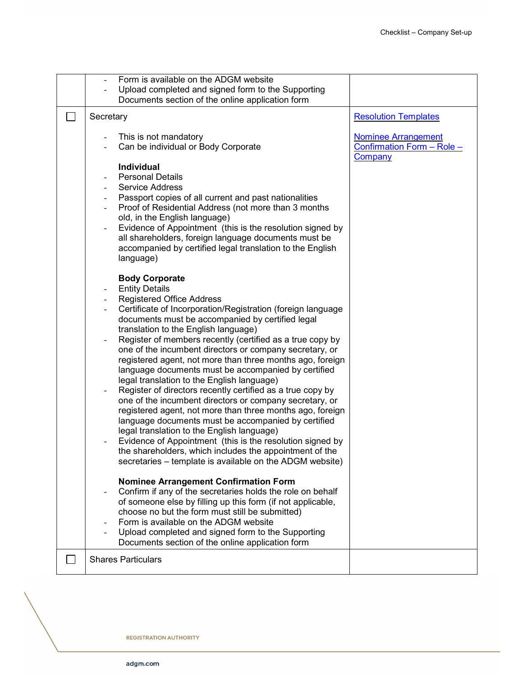| Form is available on the ADGM website<br>Upload completed and signed form to the Supporting<br>Documents section of the online application form                                                                                                                                                                                                                                                                                                                                                                                                                                                                                                                                                                                                                                                                                                                                                                                                                                                                        |                                                                     |  |
|------------------------------------------------------------------------------------------------------------------------------------------------------------------------------------------------------------------------------------------------------------------------------------------------------------------------------------------------------------------------------------------------------------------------------------------------------------------------------------------------------------------------------------------------------------------------------------------------------------------------------------------------------------------------------------------------------------------------------------------------------------------------------------------------------------------------------------------------------------------------------------------------------------------------------------------------------------------------------------------------------------------------|---------------------------------------------------------------------|--|
| Secretary                                                                                                                                                                                                                                                                                                                                                                                                                                                                                                                                                                                                                                                                                                                                                                                                                                                                                                                                                                                                              | <b>Resolution Templates</b>                                         |  |
| This is not mandatory<br>Can be individual or Body Corporate                                                                                                                                                                                                                                                                                                                                                                                                                                                                                                                                                                                                                                                                                                                                                                                                                                                                                                                                                           | <b>Nominee Arrangement</b><br>Confirmation Form - Role -<br>Company |  |
| <b>Individual</b><br><b>Personal Details</b><br><b>Service Address</b><br>Passport copies of all current and past nationalities<br>Proof of Residential Address (not more than 3 months                                                                                                                                                                                                                                                                                                                                                                                                                                                                                                                                                                                                                                                                                                                                                                                                                                |                                                                     |  |
| old, in the English language)<br>Evidence of Appointment (this is the resolution signed by<br>all shareholders, foreign language documents must be<br>accompanied by certified legal translation to the English<br>language)                                                                                                                                                                                                                                                                                                                                                                                                                                                                                                                                                                                                                                                                                                                                                                                           |                                                                     |  |
| <b>Body Corporate</b><br><b>Entity Details</b><br><b>Registered Office Address</b><br>Certificate of Incorporation/Registration (foreign language<br>documents must be accompanied by certified legal<br>translation to the English language)<br>Register of members recently (certified as a true copy by<br>one of the incumbent directors or company secretary, or<br>registered agent, not more than three months ago, foreign<br>language documents must be accompanied by certified<br>legal translation to the English language)<br>Register of directors recently certified as a true copy by<br>one of the incumbent directors or company secretary, or<br>registered agent, not more than three months ago, foreign<br>language documents must be accompanied by certified<br>legal translation to the English language)<br>Evidence of Appointment (this is the resolution signed by<br>the shareholders, which includes the appointment of the<br>secretaries – template is available on the ADGM website) |                                                                     |  |
| <b>Nominee Arrangement Confirmation Form</b><br>Confirm if any of the secretaries holds the role on behalf<br>of someone else by filling up this form (if not applicable,<br>choose no but the form must still be submitted)<br>Form is available on the ADGM website<br>Upload completed and signed form to the Supporting<br>Documents section of the online application form                                                                                                                                                                                                                                                                                                                                                                                                                                                                                                                                                                                                                                        |                                                                     |  |
| <b>Shares Particulars</b>                                                                                                                                                                                                                                                                                                                                                                                                                                                                                                                                                                                                                                                                                                                                                                                                                                                                                                                                                                                              |                                                                     |  |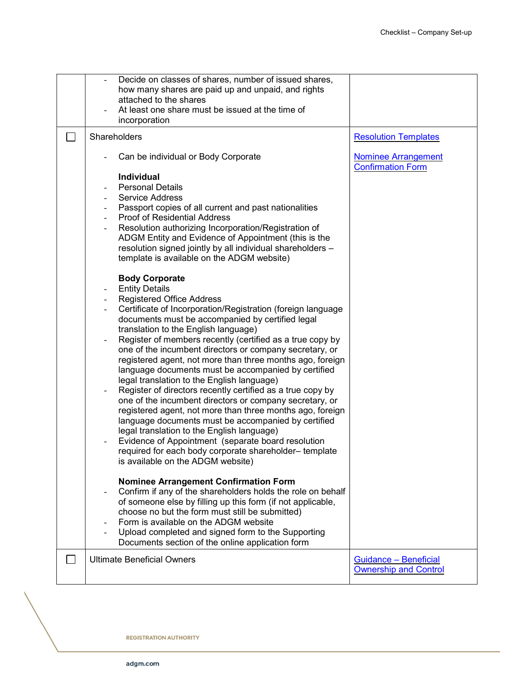|        | Decide on classes of shares, number of issued shares,<br>how many shares are paid up and unpaid, and rights<br>attached to the shares<br>At least one share must be issued at the time of<br>incorporation                                                                                                                                                                                                                                                                                                                                                                                                                                                                                                                                                                                                                                                                                                                                                                                                                                                                                                                                                                                                                                                                                                                                                                                                                                                                                                                                                                                                                                                                                                                                                                                                              |                                                              |  |
|--------|-------------------------------------------------------------------------------------------------------------------------------------------------------------------------------------------------------------------------------------------------------------------------------------------------------------------------------------------------------------------------------------------------------------------------------------------------------------------------------------------------------------------------------------------------------------------------------------------------------------------------------------------------------------------------------------------------------------------------------------------------------------------------------------------------------------------------------------------------------------------------------------------------------------------------------------------------------------------------------------------------------------------------------------------------------------------------------------------------------------------------------------------------------------------------------------------------------------------------------------------------------------------------------------------------------------------------------------------------------------------------------------------------------------------------------------------------------------------------------------------------------------------------------------------------------------------------------------------------------------------------------------------------------------------------------------------------------------------------------------------------------------------------------------------------------------------------|--------------------------------------------------------------|--|
| $\sim$ | Shareholders                                                                                                                                                                                                                                                                                                                                                                                                                                                                                                                                                                                                                                                                                                                                                                                                                                                                                                                                                                                                                                                                                                                                                                                                                                                                                                                                                                                                                                                                                                                                                                                                                                                                                                                                                                                                            | <b>Resolution Templates</b>                                  |  |
|        | Can be individual or Body Corporate<br><b>Individual</b><br><b>Personal Details</b><br><b>Service Address</b><br>Passport copies of all current and past nationalities<br><b>Proof of Residential Address</b><br>Resolution authorizing Incorporation/Registration of<br>ADGM Entity and Evidence of Appointment (this is the<br>resolution signed jointly by all individual shareholders -<br>template is available on the ADGM website)<br><b>Body Corporate</b><br><b>Entity Details</b><br><b>Registered Office Address</b><br>Certificate of Incorporation/Registration (foreign language<br>documents must be accompanied by certified legal<br>translation to the English language)<br>Register of members recently (certified as a true copy by<br>one of the incumbent directors or company secretary, or<br>registered agent, not more than three months ago, foreign<br>language documents must be accompanied by certified<br>legal translation to the English language)<br>Register of directors recently certified as a true copy by<br>one of the incumbent directors or company secretary, or<br>registered agent, not more than three months ago, foreign<br>language documents must be accompanied by certified<br>legal translation to the English language)<br>Evidence of Appointment (separate board resolution<br>required for each body corporate shareholder-template<br>is available on the ADGM website)<br><b>Nominee Arrangement Confirmation Form</b><br>Confirm if any of the shareholders holds the role on behalf<br>of someone else by filling up this form (if not applicable,<br>choose no but the form must still be submitted)<br>Form is available on the ADGM website<br>Upload completed and signed form to the Supporting<br>Documents section of the online application form | <b>Nominee Arrangement</b><br><b>Confirmation Form</b>       |  |
| $\Box$ | <b>Ultimate Beneficial Owners</b>                                                                                                                                                                                                                                                                                                                                                                                                                                                                                                                                                                                                                                                                                                                                                                                                                                                                                                                                                                                                                                                                                                                                                                                                                                                                                                                                                                                                                                                                                                                                                                                                                                                                                                                                                                                       | <b>Guidance - Beneficial</b><br><b>Ownership and Control</b> |  |
|        |                                                                                                                                                                                                                                                                                                                                                                                                                                                                                                                                                                                                                                                                                                                                                                                                                                                                                                                                                                                                                                                                                                                                                                                                                                                                                                                                                                                                                                                                                                                                                                                                                                                                                                                                                                                                                         |                                                              |  |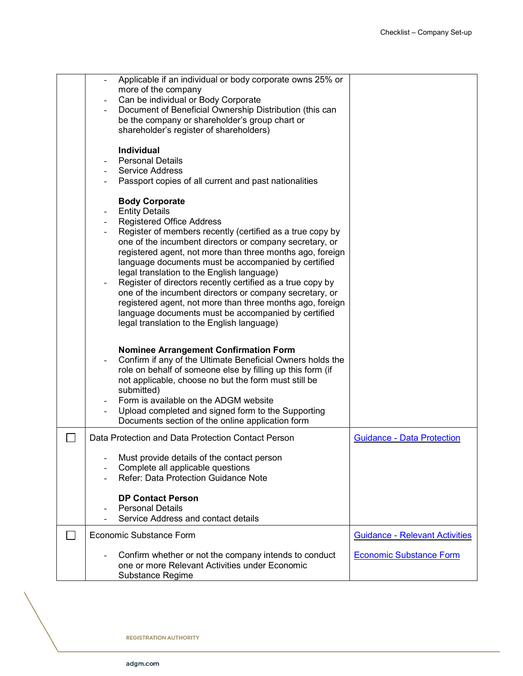|                             | Applicable if an individual or body corporate owns 25% or                 |                                       |
|-----------------------------|---------------------------------------------------------------------------|---------------------------------------|
|                             | more of the company                                                       |                                       |
|                             | Can be individual or Body Corporate                                       |                                       |
|                             | Document of Beneficial Ownership Distribution (this can                   |                                       |
|                             | be the company or shareholder's group chart or                            |                                       |
|                             | shareholder's register of shareholders)                                   |                                       |
|                             | <b>Individual</b>                                                         |                                       |
|                             | <b>Personal Details</b>                                                   |                                       |
|                             | <b>Service Address</b>                                                    |                                       |
|                             | Passport copies of all current and past nationalities                     |                                       |
|                             |                                                                           |                                       |
|                             | <b>Body Corporate</b>                                                     |                                       |
|                             | <b>Entity Details</b>                                                     |                                       |
|                             | <b>Registered Office Address</b>                                          |                                       |
|                             | Register of members recently (certified as a true copy by                 |                                       |
|                             | one of the incumbent directors or company secretary, or                   |                                       |
|                             | registered agent, not more than three months ago, foreign                 |                                       |
|                             | language documents must be accompanied by certified                       |                                       |
|                             | legal translation to the English language)                                |                                       |
|                             | Register of directors recently certified as a true copy by                |                                       |
|                             | one of the incumbent directors or company secretary, or                   |                                       |
|                             | registered agent, not more than three months ago, foreign                 |                                       |
|                             | language documents must be accompanied by certified                       |                                       |
|                             | legal translation to the English language)                                |                                       |
|                             |                                                                           |                                       |
|                             | <b>Nominee Arrangement Confirmation Form</b>                              |                                       |
|                             | Confirm if any of the Ultimate Beneficial Owners holds the                |                                       |
|                             | role on behalf of someone else by filling up this form (if                |                                       |
|                             | not applicable, choose no but the form must still be                      |                                       |
|                             | submitted)                                                                |                                       |
|                             | Form is available on the ADGM website                                     |                                       |
|                             | Upload completed and signed form to the Supporting                        |                                       |
|                             | Documents section of the online application form                          |                                       |
| $\overline{\phantom{a}}$    | Data Protection and Data Protection Contact Person                        | <b>Guidance - Data Protection</b>     |
|                             |                                                                           |                                       |
|                             | Must provide details of the contact person                                |                                       |
|                             | Complete all applicable questions<br>Refer: Data Protection Guidance Note |                                       |
|                             |                                                                           |                                       |
|                             | <b>DP Contact Person</b>                                                  |                                       |
|                             | <b>Personal Details</b>                                                   |                                       |
|                             | Service Address and contact details                                       |                                       |
|                             |                                                                           |                                       |
| $\mathcal{L}_{\mathcal{A}}$ | <b>Economic Substance Form</b>                                            | <b>Guidance - Relevant Activities</b> |
|                             | Confirm whether or not the company intends to conduct                     | <b>Economic Substance Form</b>        |
|                             | one or more Relevant Activities under Economic                            |                                       |
|                             | Substance Regime                                                          |                                       |
|                             |                                                                           |                                       |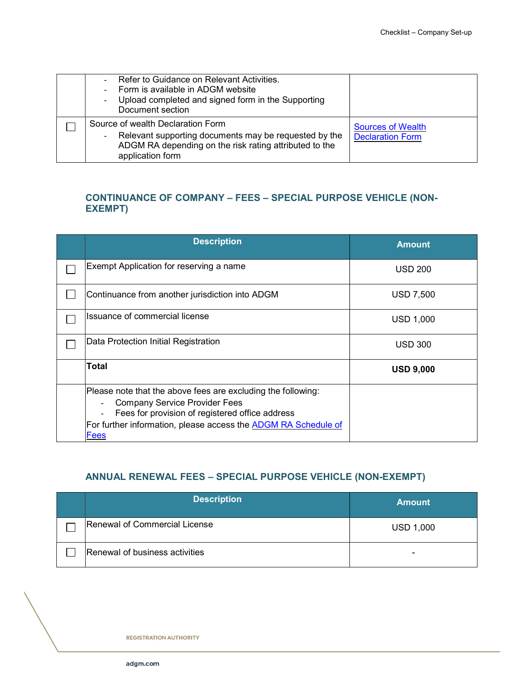| Refer to Guidance on Relevant Activities.<br>Form is available in ADGM website<br>Upload completed and signed form in the Supporting<br>$\overline{\phantom{a}}$<br>Document section                 |                                                     |
|------------------------------------------------------------------------------------------------------------------------------------------------------------------------------------------------------|-----------------------------------------------------|
| Source of wealth Declaration Form<br>Relevant supporting documents may be requested by the<br>$\overline{\phantom{a}}$<br>ADGM RA depending on the risk rating attributed to the<br>application form | <b>Sources of Wealth</b><br><b>Declaration Form</b> |

## CONTINUANCE OF COMPANY – FEES – SPECIAL PURPOSE VEHICLE (NON-EXEMPT)

| <b>Description</b>                                                                                                                                                                                                                                                          | <b>Amount</b>    |
|-----------------------------------------------------------------------------------------------------------------------------------------------------------------------------------------------------------------------------------------------------------------------------|------------------|
| Exempt Application for reserving a name                                                                                                                                                                                                                                     | <b>USD 200</b>   |
| Continuance from another jurisdiction into ADGM                                                                                                                                                                                                                             | <b>USD 7,500</b> |
| Issuance of commercial license                                                                                                                                                                                                                                              | <b>USD 1,000</b> |
| Data Protection Initial Registration                                                                                                                                                                                                                                        | <b>USD 300</b>   |
| Total                                                                                                                                                                                                                                                                       | <b>USD 9,000</b> |
| Please note that the above fees are excluding the following:<br><b>Company Service Provider Fees</b><br>Fees for provision of registered office address<br>$\overline{\phantom{a}}$<br>For further information, please access the <b>ADGM RA Schedule of</b><br><b>Fees</b> |                  |

## ANNUAL RENEWAL FEES – SPECIAL PURPOSE VEHICLE (NON-EXEMPT)

| <b>Description</b>             | <b>Amount</b>    |
|--------------------------------|------------------|
| Renewal of Commercial License  | <b>USD 1,000</b> |
| Renewal of business activities | ۰                |